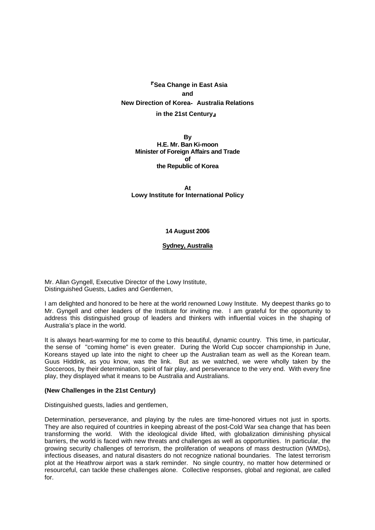『**Sea Change in East Asia and New Direction of Korea**‐ **Australia Relations in the 21st Century**』

> **By H.E. Mr. Ban Ki-moon Minister of Foreign Affairs and Trade of the Republic of Korea**

**At Lowy Institute for International Policy**

## **14 August 2006**

### **Sydney, Australia**

Mr. Allan Gyngell, Executive Director of the Lowy Institute, Distinguished Guests, Ladies and Gentlemen,

I am delighted and honored to be here at the world renowned Lowy Institute. My deepest thanks go to Mr. Gyngell and other leaders of the Institute for inviting me. I am grateful for the opportunity to address this distinguished group of leaders and thinkers with influential voices in the shaping of Australia's place in the world.

It is always heart-warming for me to come to this beautiful, dynamic country. This time, in particular, the sense of "coming home" is even greater. During the World Cup soccer championship in June, Koreans stayed up late into the night to cheer up the Australian team as well as the Korean team. Guus Hiddink, as you know, was the link. But as we watched, we were wholly taken by the Socceroos, by their determination, spirit of fair play, and perseverance to the very end. With every fine play, they displayed what it means to be Australia and Australians.

#### **(New Challenges in the 21st Century)**

Distinguished guests, ladies and gentlemen,

Determination, perseverance, and playing by the rules are time-honored virtues not just in sports. They are also required of countries in keeping abreast of the post-Cold War sea change that has been transforming the world. With the ideological divide lifted, with globalization diminishing physical barriers, the world is faced with new threats and challenges as well as opportunities. In particular, the growing security challenges of terrorism, the proliferation of weapons of mass destruction (WMDs), infectious diseases, and natural disasters do not recognize national boundaries. The latest terrorism plot at the Heathrow airport was a stark reminder. No single country, no matter how determined or resourceful, can tackle these challenges alone. Collective responses, global and regional, are called for.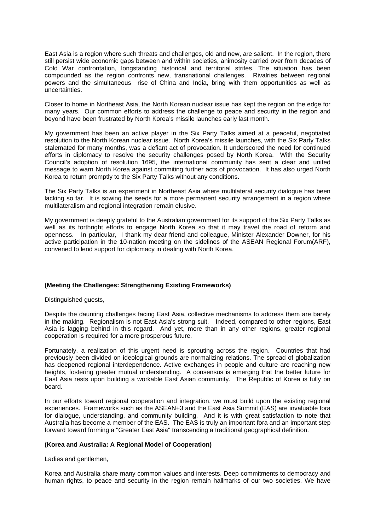East Asia is a region where such threats and challenges, old and new, are salient. In the region, there still persist wide economic gaps between and within societies, animosity carried over from decades of Cold War confrontation, longstanding historical and territorial strifes. The situation has been compounded as the region confronts new, transnational challenges. Rivalries between regional powers and the simultaneous rise of China and India, bring with them opportunities as well as uncertainties.

Closer to home in Northeast Asia, the North Korean nuclear issue has kept the region on the edge for many years. Our common efforts to address the challenge to peace and security in the region and beyond have been frustrated by North Korea's missile launches early last month.

My government has been an active player in the Six Party Talks aimed at a peaceful, negotiated resolution to the North Korean nuclear issue. North Korea's missile launches, with the Six Party Talks stalemated for many months, was a defiant act of provocation. It underscored the need for continued efforts in diplomacy to resolve the security challenges posed by North Korea. With the Security Council's adoption of resolution 1695, the international community has sent a clear and united message to warn North Korea against commiting further acts of provocation. It has also urged North Korea to return promptly to the Six Party Talks without any conditions.

The Six Party Talks is an experiment in Northeast Asia where multilateral security dialogue has been lacking so far. It is sowing the seeds for a more permanent security arrangement in a region where multilateralism and regional integration remain elusive.

My government is deeply grateful to the Australian government for its support of the Six Party Talks as well as its forthright efforts to engage North Korea so that it may travel the road of reform and openness. In particular, I thank my dear friend and colleague, Minister Alexander Downer, for his active participation in the 10-nation meeting on the sidelines of the ASEAN Regional Forum(ARF), convened to lend support for diplomacy in dealing with North Korea.

# **(Meeting the Challenges: Strengthening Existing Frameworks)**

Distinguished guests,

Despite the daunting challenges facing East Asia, collective mechanisms to address them are barely in the making. Regionalism is not East Asia's strong suit. Indeed, compared to other regions, East Asia is lagging behind in this regard. And yet, more than in any other regions, greater regional cooperation is required for a more prosperous future.

Fortunately, a realization of this urgent need is sprouting across the region. Countries that had previously been divided on ideological grounds are normalizing relations. The spread of globalization has deepened regional interdependence. Active exchanges in people and culture are reaching new heights, fostering greater mutual understanding. A consensus is emerging that the better future for East Asia rests upon building a workable East Asian community. The Republic of Korea is fully on board.

In our efforts toward regional cooperation and integration, we must build upon the existing regional experiences. Frameworks such as the ASEAN+3 and the East Asia Summit (EAS) are invaluable fora for dialogue, understanding, and community building. And it is with great satisfaction to note that Australia has become a member of the EAS. The EAS is truly an important fora and an important step forward toward forming a "Greater East Asia" transcending a traditional geographical definition.

## **(Korea and Australia: A Regional Model of Cooperation)**

Ladies and gentlemen,

Korea and Australia share many common values and interests. Deep commitments to democracy and human rights, to peace and security in the region remain hallmarks of our two societies. We have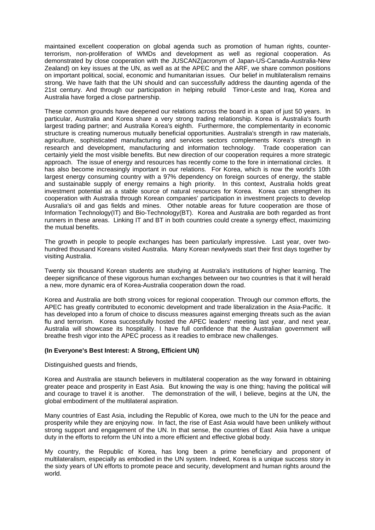maintained excellent cooperation on global agenda such as promotion of human rights, counterterrorism, non-proliferation of WMDs and development as well as regional cooperation. As demonstrated by close cooperation with the JUSCANZ(acronym of Japan-US-Canada-Australia-New Zealand) on key issues at the UN, as well as at the APEC and the ARF, we share common positions on important political, social, economic and humanitarian issues. Our belief in multilateralism remains strong. We have faith that the UN should and can successfully address the daunting agenda of the 21st century. And through our participation in helping rebuild Timor-Leste and Iraq, Korea and Australia have forged a close partnership.

These common grounds have deepened our relations across the board in a span of just 50 years. In particular, Australia and Korea share a very strong trading relationship. Korea is Australia's fourth largest trading partner; and Australia Korea's eighth. Furthermore, the complementarity in economic structure is creating numerous mutually beneficial opportunities. Australia's strength in raw materials, agriculture, sophisticated manufacturing and services sectors complements Korea's strength in research and development, manufacturing and information technology. Trade cooperation can certainly yield the most visible benefits. But new direction of our cooperation requires a more strategic approach. The issue of energy and resources has recently come to the fore in international circles. It has also become increasingly important in our relations. For Korea, which is now the world's 10th largest energy consuming country with a 97% dependency on foreign sources of energy, the stable and sustainable supply of energy remains a high priority. In this context, Australia holds great investment potential as a stable source of natural resources for Korea. Korea can strengthen its cooperation with Australia through Korean companies' participation in investment projects to develop Ausralia's oil and gas fields and mines. Other notable areas for future cooperation are those of Information Technology(IT) and Bio-Technology(BT). Korea and Australia are both regarded as front runners in these areas. Linking IT and BT in both countries could create a synergy effect, maximizing the mutual benefits.

The growth in people to people exchanges has been particularly impressive. Last year, over twohundred thousand Koreans visited Australia. Many Korean newlyweds start their first days together by visiting Australia.

Twenty six thousand Korean students are studying at Australia's institutions of higher learning. The deeper significance of these vigorous human exchanges between our two countries is that it will herald a new, more dynamic era of Korea-Australia cooperation down the road.

Korea and Australia are both strong voices for regional cooperation. Through our common efforts, the APEC has greatly contributed to economic development and trade liberalization in the Asia-Pacific. It has developed into a forum of choice to discuss measures against emerging threats such as the avian flu and terrorism. Korea successfully hosted the APEC leaders' meeting last year, and next year, Australia will showcase its hospitality. I have full confidence that the Australian government will breathe fresh vigor into the APEC process as it readies to embrace new challenges.

## **(In Everyone's Best Interest: A Strong, Efficient UN)**

Distinguished guests and friends,

Korea and Australia are staunch believers in multilateral cooperation as the way forward in obtaining greater peace and prosperity in East Asia. But knowing the way is one thing; having the political will and courage to travel it is another. The demonstration of the will, I believe, begins at the UN, the global embodiment of the multilateral aspiration.

Many countries of East Asia, including the Republic of Korea, owe much to the UN for the peace and prosperity while they are enjoying now. In fact, the rise of East Asia would have been unlikely without strong support and engagement of the UN. In that sense, the countries of East Asia have a unique duty in the efforts to reform the UN into a more efficient and effective global body.

My country, the Republic of Korea, has long been a prime beneficiary and proponent of multilateralism, especially as embodied in the UN system. Indeed, Korea is a unique success story in the sixty years of UN efforts to promote peace and security, development and human rights around the world.